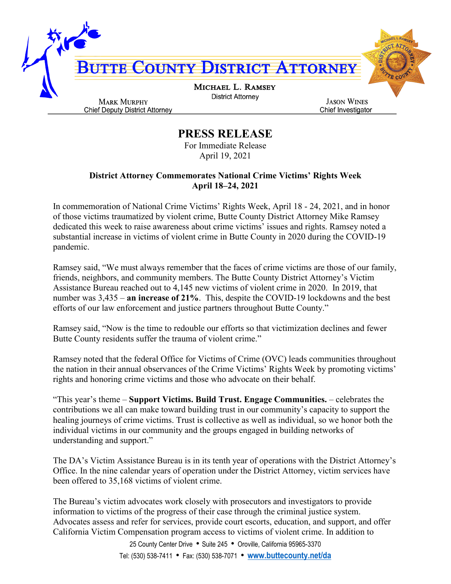

## **PRESS RELEASE**

For Immediate Release April 19, 2021

## **District Attorney Commemorates National Crime Victims' Rights Week April 18–24, 2021**

In commemoration of National Crime Victims' Rights Week, April 18 - 24, 2021, and in honor of those victims traumatized by violent crime, Butte County District Attorney Mike Ramsey dedicated this week to raise awareness about crime victims' issues and rights. Ramsey noted a substantial increase in victims of violent crime in Butte County in 2020 during the COVID-19 pandemic.

Ramsey said, "We must always remember that the faces of crime victims are those of our family, friends, neighbors, and community members. The Butte County District Attorney's Victim Assistance Bureau reached out to 4,145 new victims of violent crime in 2020. In 2019, that number was 3,435 – **an increase of 21%**. This, despite the COVID-19 lockdowns and the best efforts of our law enforcement and justice partners throughout Butte County."

Ramsey said, "Now is the time to redouble our efforts so that victimization declines and fewer Butte County residents suffer the trauma of violent crime."

Ramsey noted that the federal Office for Victims of Crime (OVC) leads communities throughout the nation in their annual observances of the Crime Victims' Rights Week by promoting victims' rights and honoring crime victims and those who advocate on their behalf.

"This year's theme – **Support Victims. Build Trust. Engage Communities.** – celebrates the contributions we all can make toward building trust in our community's capacity to support the healing journeys of crime victims. Trust is collective as well as individual, so we honor both the individual victims in our community and the groups engaged in building networks of understanding and support."

The DA's Victim Assistance Bureau is in its tenth year of operations with the District Attorney's Office. In the nine calendar years of operation under the District Attorney, victim services have been offered to 35,168 victims of violent crime.

The Bureau's victim advocates work closely with prosecutors and investigators to provide information to victims of the progress of their case through the criminal justice system. Advocates assess and refer for services, provide court escorts, education, and support, and offer California Victim Compensation program access to victims of violent crime. In addition to